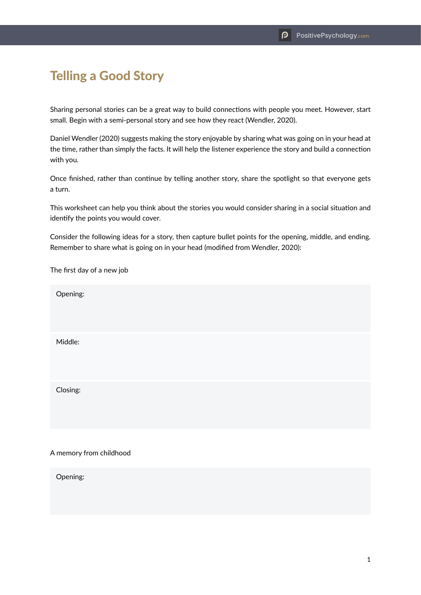## Telling a Good Story

Sharing personal stories can be a great way to build connections with people you meet. However, start small. Begin with a semi-personal story and see how they react (Wendler, 2020).

Daniel Wendler (2020) suggests making the story enjoyable by sharing what was going on in your head at the time, rather than simply the facts. It will help the listener experience the story and build a connection with you.

Once finished, rather than continue by telling another story, share the spotlight so that everyone gets a turn.

This worksheet can help you think about the stories you would consider sharing in a social situation and identify the points you would cover.

Consider the following ideas for a story, then capture bullet points for the opening, middle, and ending. Remember to share what is going on in your head (modified from Wendler, 2020):

The first day of a new job

| Opening: |  |  |  |
|----------|--|--|--|
| Middle:  |  |  |  |
| Closing: |  |  |  |
|          |  |  |  |

## A memory from childhood

Opening: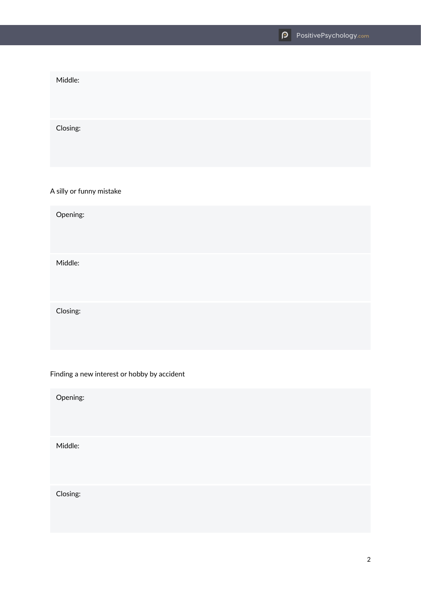Middle: Closing:

A silly or funny mistake

Opening:

Middle:

Closing:

Finding a new interest or hobby by accident

Opening:

Middle:

Closing: